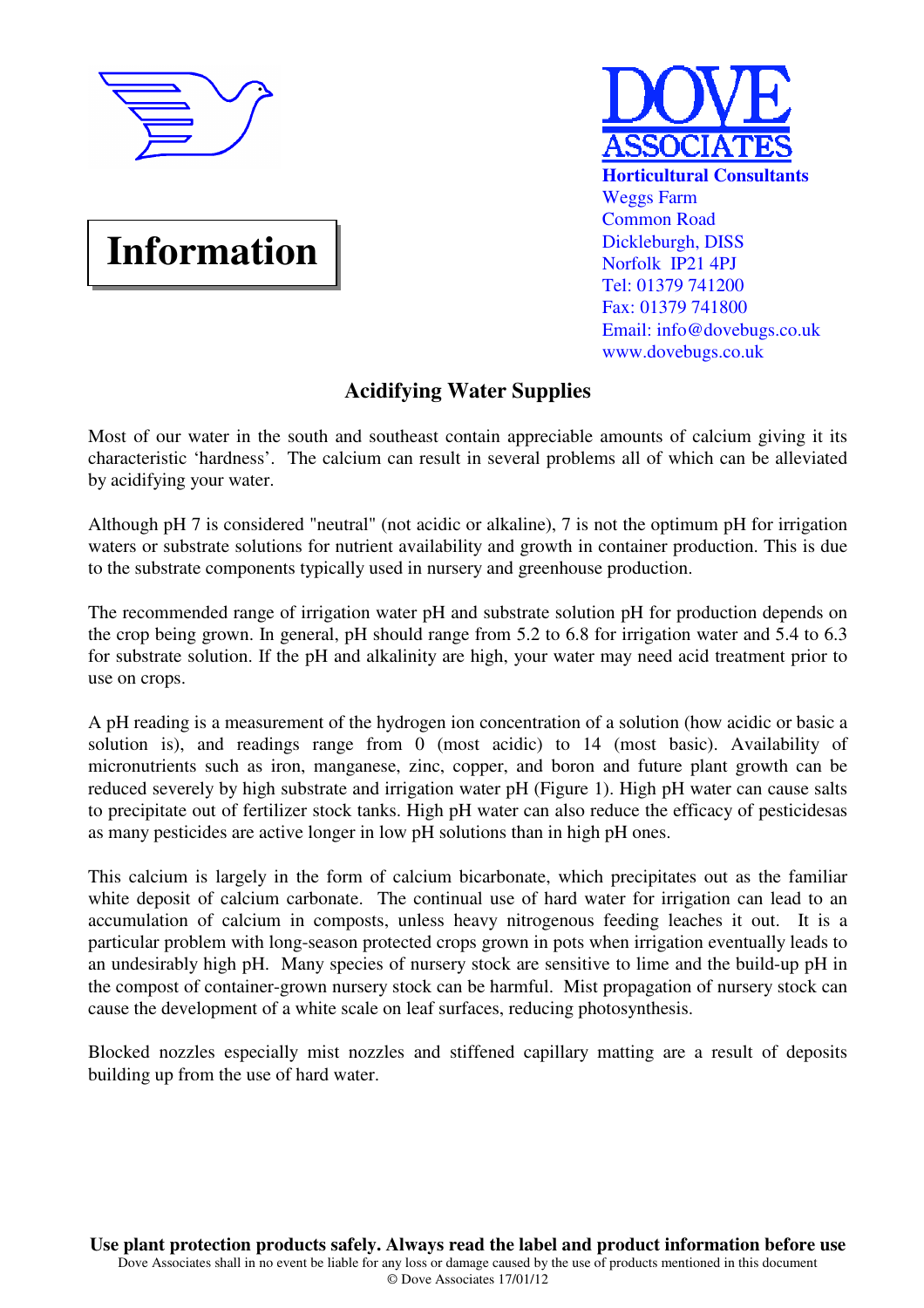

# **Information**



## **Acidifying Water Supplies**

Most of our water in the south and southeast contain appreciable amounts of calcium giving it its characteristic 'hardness'. The calcium can result in several problems all of which can be alleviated by acidifying your water.

Although pH 7 is considered "neutral" (not acidic or alkaline), 7 is not the optimum pH for irrigation waters or substrate solutions for nutrient availability and growth in container production. This is due to the substrate components typically used in nursery and greenhouse production.

The recommended range of irrigation water pH and substrate solution pH for production depends on the crop being grown. In general, pH should range from 5.2 to 6.8 for irrigation water and 5.4 to 6.3 for substrate solution. If the pH and alkalinity are high, your water may need acid treatment prior to use on crops.

A pH reading is a measurement of the hydrogen ion concentration of a solution (how acidic or basic a solution is), and readings range from 0 (most acidic) to 14 (most basic). Availability of micronutrients such as iron, manganese, zinc, copper, and boron and future plant growth can be reduced severely by high substrate and irrigation water pH (Figure 1). High pH water can cause salts to precipitate out of fertilizer stock tanks. High pH water can also reduce the efficacy of pesticidesas as many pesticides are active longer in low pH solutions than in high pH ones.

This calcium is largely in the form of calcium bicarbonate, which precipitates out as the familiar white deposit of calcium carbonate. The continual use of hard water for irrigation can lead to an accumulation of calcium in composts, unless heavy nitrogenous feeding leaches it out. It is a particular problem with long-season protected crops grown in pots when irrigation eventually leads to an undesirably high pH. Many species of nursery stock are sensitive to lime and the build-up pH in the compost of container-grown nursery stock can be harmful. Mist propagation of nursery stock can cause the development of a white scale on leaf surfaces, reducing photosynthesis.

Blocked nozzles especially mist nozzles and stiffened capillary matting are a result of deposits building up from the use of hard water.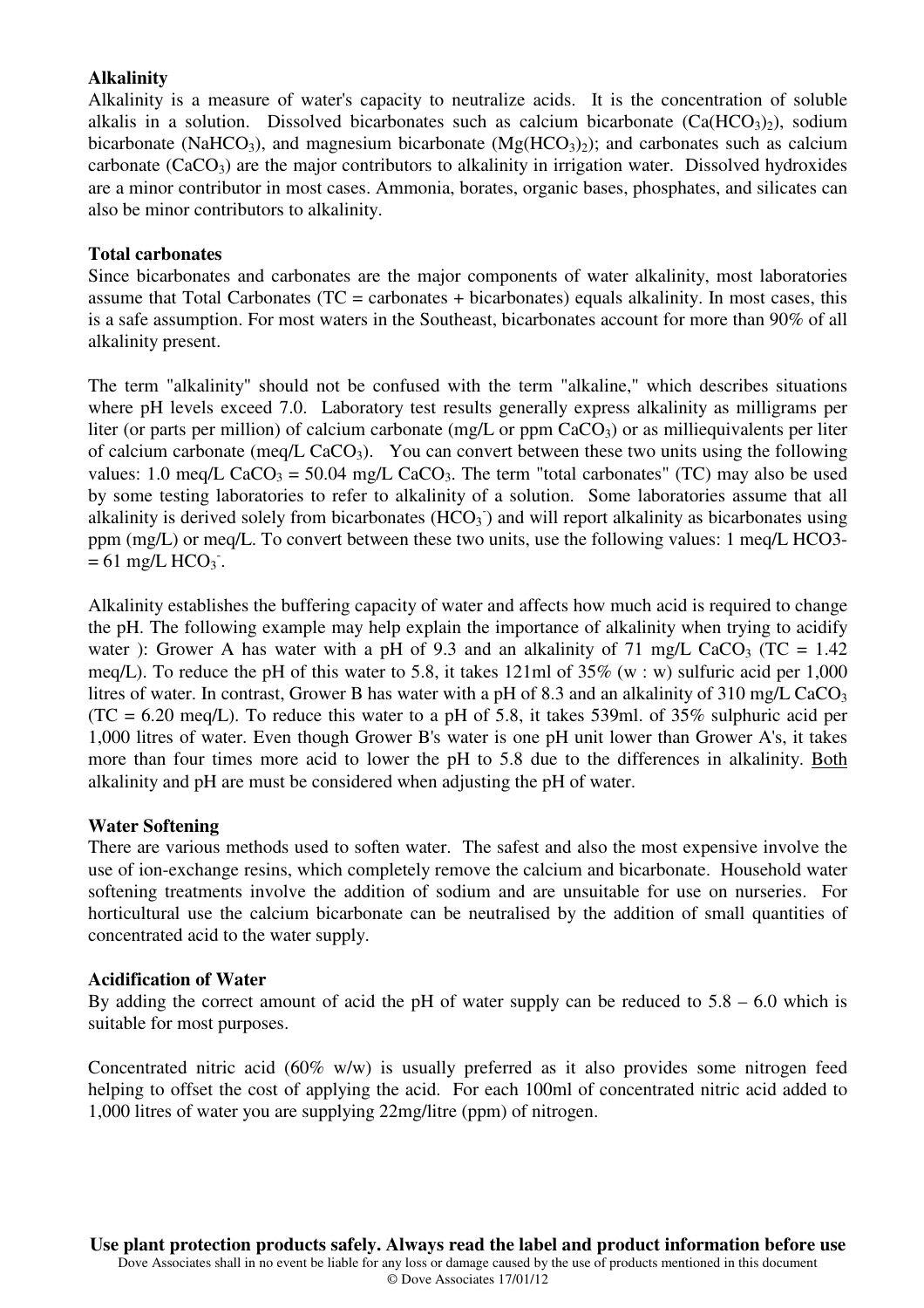### **Alkalinity**

Alkalinity is a measure of water's capacity to neutralize acids. It is the concentration of soluble alkalis in a solution. Dissolved bicarbonates such as calcium bicarbonate  $(Ca(HCO<sub>3</sub>)<sub>2</sub>)$ , sodium bicarbonate (NaHCO<sub>3</sub>), and magnesium bicarbonate (Mg(HCO<sub>3</sub>)<sub>2</sub>); and carbonates such as calcium carbonate  $(CaCO<sub>3</sub>)$  are the major contributors to alkalinity in irrigation water. Dissolved hydroxides are a minor contributor in most cases. Ammonia, borates, organic bases, phosphates, and silicates can also be minor contributors to alkalinity.

#### **Total carbonates**

Since bicarbonates and carbonates are the major components of water alkalinity, most laboratories assume that Total Carbonates ( $TC =$  carbonates + bicarbonates) equals alkalinity. In most cases, this is a safe assumption. For most waters in the Southeast, bicarbonates account for more than 90% of all alkalinity present.

The term "alkalinity" should not be confused with the term "alkaline," which describes situations where pH levels exceed 7.0. Laboratory test results generally express alkalinity as milligrams per liter (or parts per million) of calcium carbonate (mg/L or ppm  $CaCO<sub>3</sub>$ ) or as milliequivalents per liter of calcium carbonate (meq/L  $CaCO<sub>3</sub>$ ). You can convert between these two units using the following values: 1.0 meq/L CaCO<sub>3</sub> = 50.04 mg/L CaCO<sub>3</sub>. The term "total carbonates" (TC) may also be used by some testing laboratories to refer to alkalinity of a solution. Some laboratories assume that all alkalinity is derived solely from bicarbonates  $(HCO<sub>3</sub>)$  and will report alkalinity as bicarbonates using ppm (mg/L) or meq/L. To convert between these two units, use the following values: 1 meq/L HCO3-  $= 61$  mg/L HCO<sub>3</sub>.

Alkalinity establishes the buffering capacity of water and affects how much acid is required to change the pH. The following example may help explain the importance of alkalinity when trying to acidify water ): Grower A has water with a pH of 9.3 and an alkalinity of 71 mg/L CaCO<sub>3</sub> (TC =  $1.42$ ) meq/L). To reduce the pH of this water to 5.8, it takes 121ml of 35% (w : w) sulfuric acid per 1,000 litres of water. In contrast, Grower B has water with a pH of 8.3 and an alkalinity of 310 mg/L CaCO<sub>3</sub>  $(TC = 6.20 \text{ meg/L})$ . To reduce this water to a pH of 5.8, it takes 539ml. of 35% sulphuric acid per 1,000 litres of water. Even though Grower B's water is one pH unit lower than Grower A's, it takes more than four times more acid to lower the pH to 5.8 due to the differences in alkalinity. Both alkalinity and pH are must be considered when adjusting the pH of water.

#### **Water Softening**

There are various methods used to soften water. The safest and also the most expensive involve the use of ion-exchange resins, which completely remove the calcium and bicarbonate. Household water softening treatments involve the addition of sodium and are unsuitable for use on nurseries. For horticultural use the calcium bicarbonate can be neutralised by the addition of small quantities of concentrated acid to the water supply.

#### **Acidification of Water**

By adding the correct amount of acid the pH of water supply can be reduced to  $5.8 - 6.0$  which is suitable for most purposes.

Concentrated nitric acid (60% w/w) is usually preferred as it also provides some nitrogen feed helping to offset the cost of applying the acid. For each 100ml of concentrated nitric acid added to 1,000 litres of water you are supplying 22mg/litre (ppm) of nitrogen.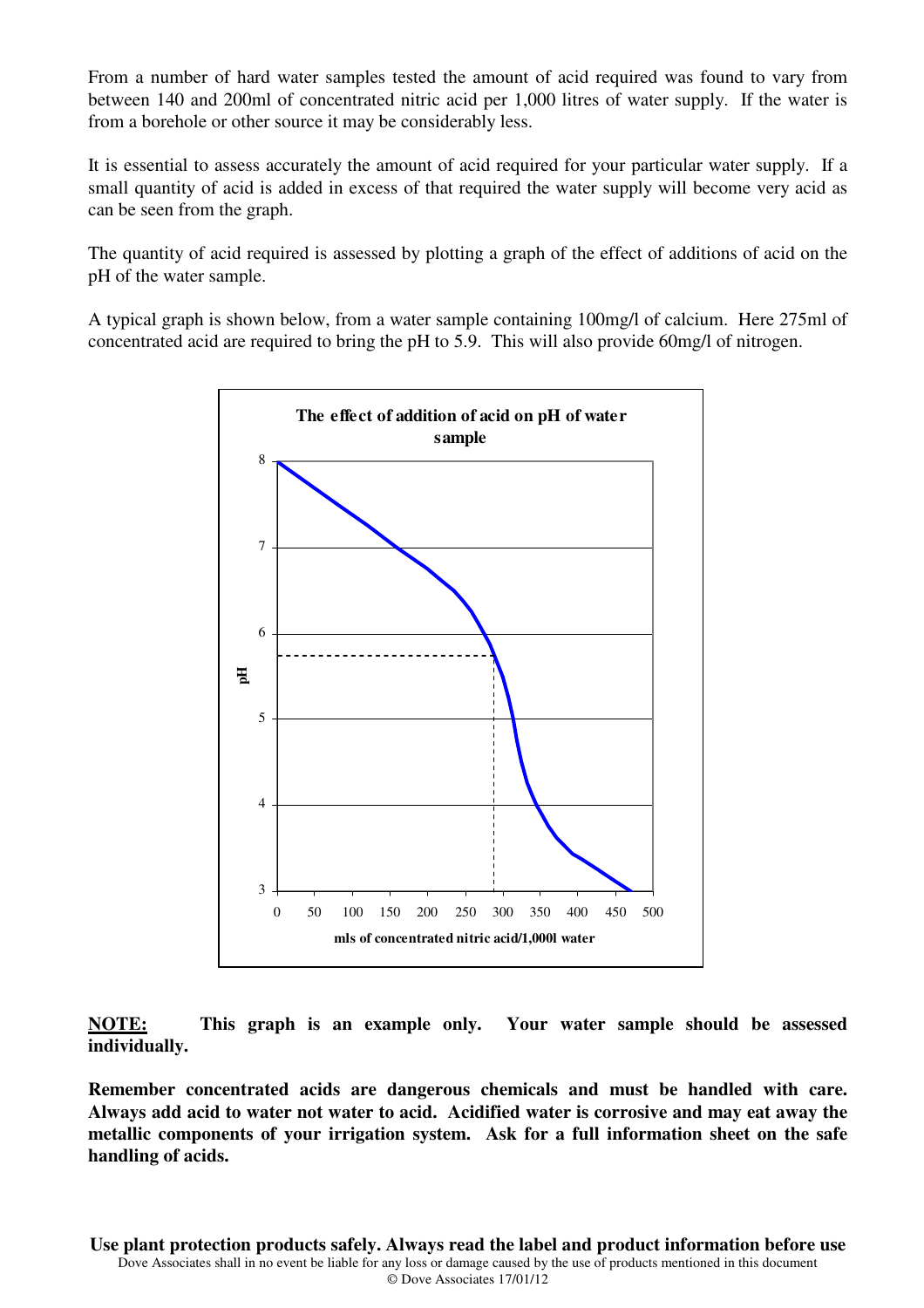From a number of hard water samples tested the amount of acid required was found to vary from between 140 and 200ml of concentrated nitric acid per 1,000 litres of water supply. If the water is from a borehole or other source it may be considerably less.

It is essential to assess accurately the amount of acid required for your particular water supply. If a small quantity of acid is added in excess of that required the water supply will become very acid as can be seen from the graph.

The quantity of acid required is assessed by plotting a graph of the effect of additions of acid on the pH of the water sample.

A typical graph is shown below, from a water sample containing 100mg/l of calcium. Here 275ml of concentrated acid are required to bring the pH to 5.9. This will also provide 60mg/l of nitrogen.



**NOTE: This graph is an example only. Your water sample should be assessed individually.** 

**Remember concentrated acids are dangerous chemicals and must be handled with care. Always add acid to water not water to acid. Acidified water is corrosive and may eat away the metallic components of your irrigation system. Ask for a full information sheet on the safe handling of acids.**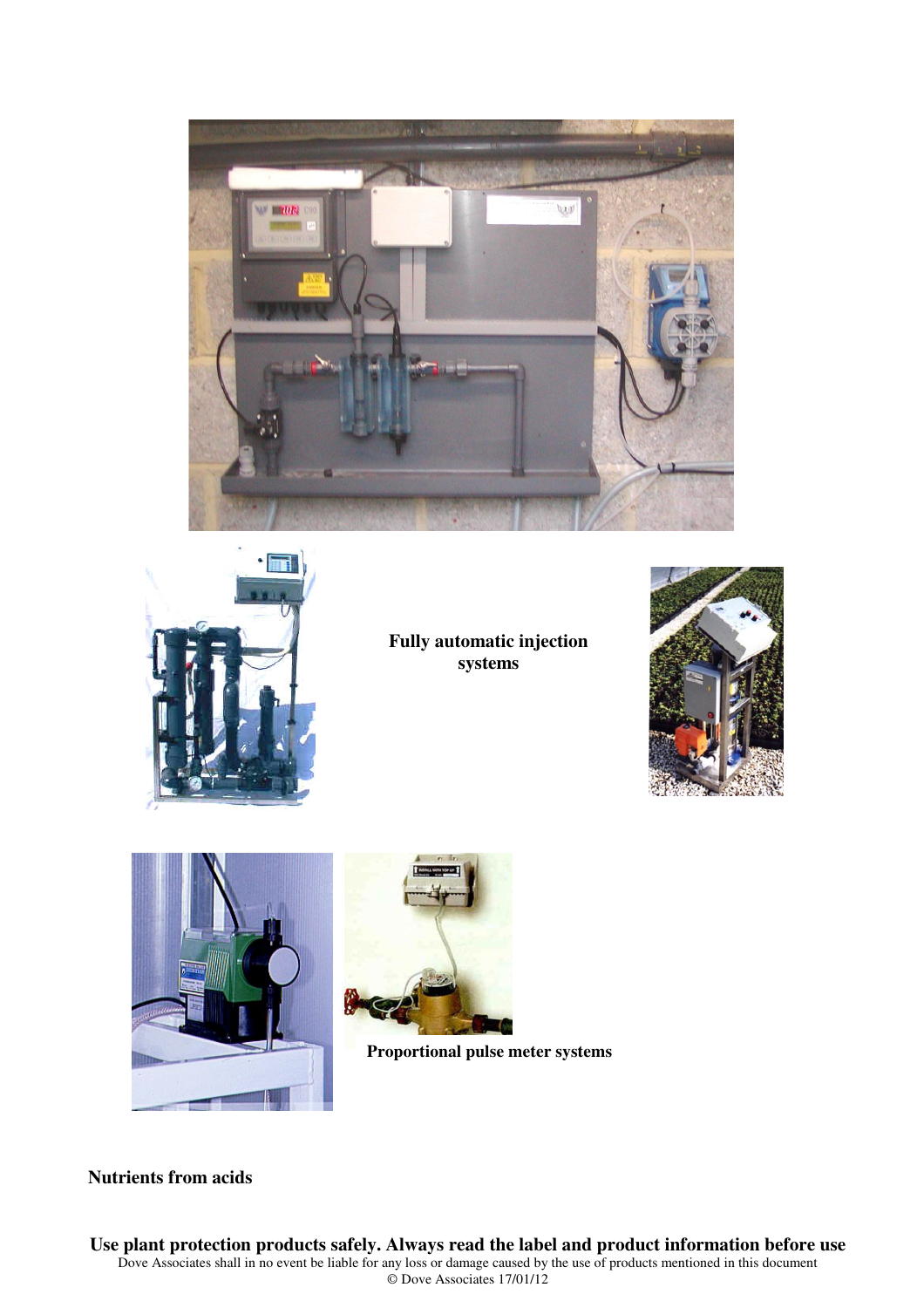



**Fully automatic injection systems** 







**Proportional pulse meter systems** 

**Nutrients from acids**